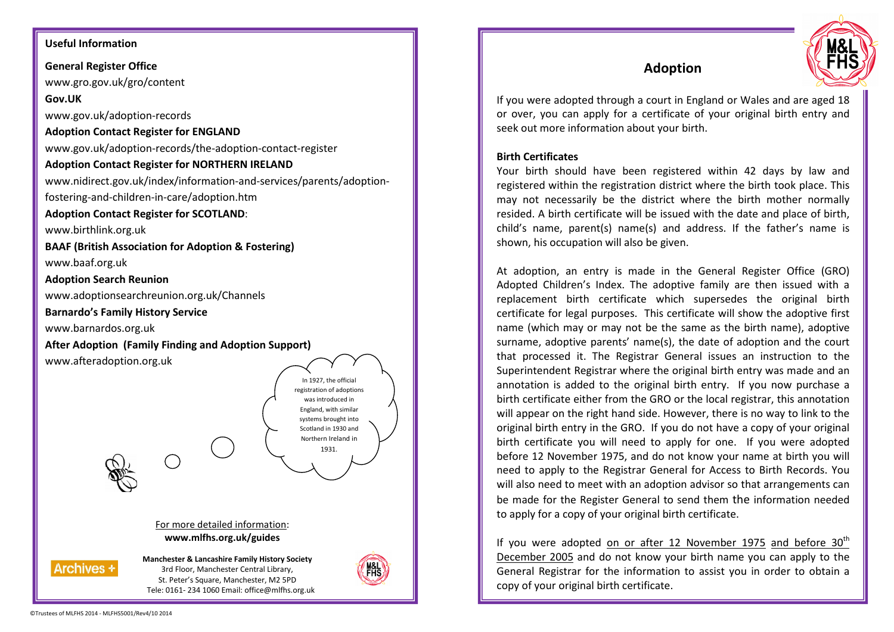## **Useful Information**

**General Register Office** www.gro.gov.uk/gro/content

**Gov.UK** 

www.gov.uk/adoption-records

## **Adoption Contact Register for ENGLAND**

www.gov.uk/adoption-records/the-adoption-contact-register

## **Adoption Contact Register for NORTHERN IRELAND**

www.nidirect.gov.uk/index/information-and-services/parents/adoption-

fostering-and-children-in-care/adoption.htm

## **Adoption Contact Register for SCOTLAND**:

www.birthlink.org.uk

**BAAF (British Association for Adoption & Fostering)**www.baaf.org.uk

**Adoption Search Reunion**

www.adoptionsearchreunion.org.uk/Channels

**Barnardo's Family History Service** 

www.barnardos.org.uk

**After Adoption (Family Finding and Adoption Support)** 

www.afteradoption.org.uk



3rd Floor, Manchester Central Library, St. Peter's Square, Manchester, M2 5PD Tele: 0161- 234 1060 Email: office@mlfhs.org.uk



# **Adoption**



If you were adopted through a court in England or Wales and are aged 18 or over, you can apply for a certificate of your original birth entry and seek out more information about your birth.

## **Birth Certificates**

Your birth should have been registered within 42 days by law and registered within the registration district where the birth took place. This may not necessarily be the district where the birth mother normally resided. A birth certificate will be issued with the date and place of birth, child's name, parent(s) name(s) and address. If the father's name is shown, his occupation will also be given.

At adoption, an entry is made in the General Register Office (GRO) Adopted Children's Index. The adoptive family are then issued with a replacement birth certificate which supersedes the original birth certificate for legal purposes. This certificate will show the adoptive first name (which may or may not be the same as the birth name), adoptive surname, adoptive parents' name(s), the date of adoption and the court that processed it. The Registrar General issues an instruction to the Superintendent Registrar where the original birth entry was made and an annotation is added to the original birth entry. If you now purchase a birth certificate either from the GRO or the local registrar, this annotation will appear on the right hand side. However, there is no way to link to the original birth entry in the GRO. If you do not have a copy of your original birth certificate you will need to apply for one. If you were adopted before 12 November 1975, and do not know your name at birth you will need to apply to the Registrar General for Access to Birth Records. You will also need to meet with an adoption advisor so that arrangements can be made for the Register General to send them the information needed to apply for a copy of your original birth certificate.

If you were adopted on or after 12 November 1975 and before  $30<sup>th</sup>$ December 2005 and do not know your birth name you can apply to the General Registrar for the information to assist you in order to obtain a copy of your original birth certificate.